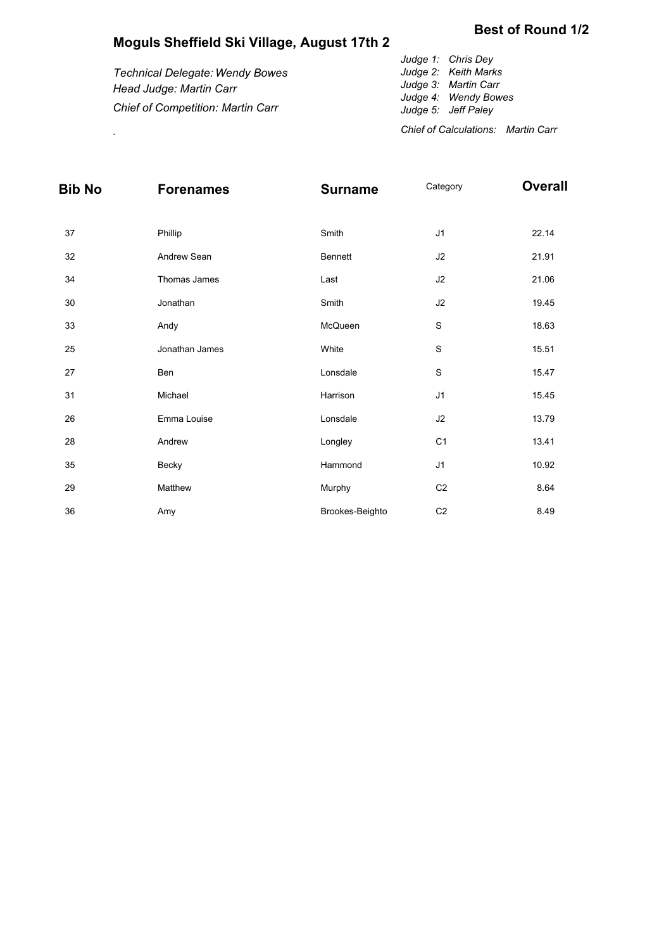## **Moguls Sheffield Ski Village, August 17th 2**

*Technical Delegate: Wendy Bowes Head Judge: Martin Carr Chief of Competition: Martin Carr Judge 1: Chris Dey Judge 2: Keith Marks Judge 3: Martin Carr Judge 4: Wendy Bowes Judge 5: Jeff Paley*

*Chief of Calculations: Martin Carr* .

| Bib No | <b>Forenames</b> | <b>Surname</b>  | Category       | <b>Overall</b> |
|--------|------------------|-----------------|----------------|----------------|
|        |                  |                 |                |                |
| 37     | Phillip          | Smith           | J1             | 22.14          |
| 32     | Andrew Sean      | Bennett         | J2             | 21.91          |
| 34     | Thomas James     | Last            | J2             | 21.06          |
| 30     | Jonathan         | Smith           | J2             | 19.45          |
| 33     | Andy             | McQueen         | $\mathbf S$    | 18.63          |
| 25     | Jonathan James   | White           | $\mathbf S$    | 15.51          |
| 27     | Ben              | Lonsdale        | $\mathbf S$    | 15.47          |
| 31     | Michael          | Harrison        | J1             | 15.45          |
| 26     | Emma Louise      | Lonsdale        | J2             | 13.79          |
| 28     | Andrew           | Longley         | C <sub>1</sub> | 13.41          |
| 35     | Becky            | Hammond         | J1             | 10.92          |
| 29     | Matthew          | Murphy          | C <sub>2</sub> | 8.64           |
| 36     | Amy              | Brookes-Beighto | C <sub>2</sub> | 8.49           |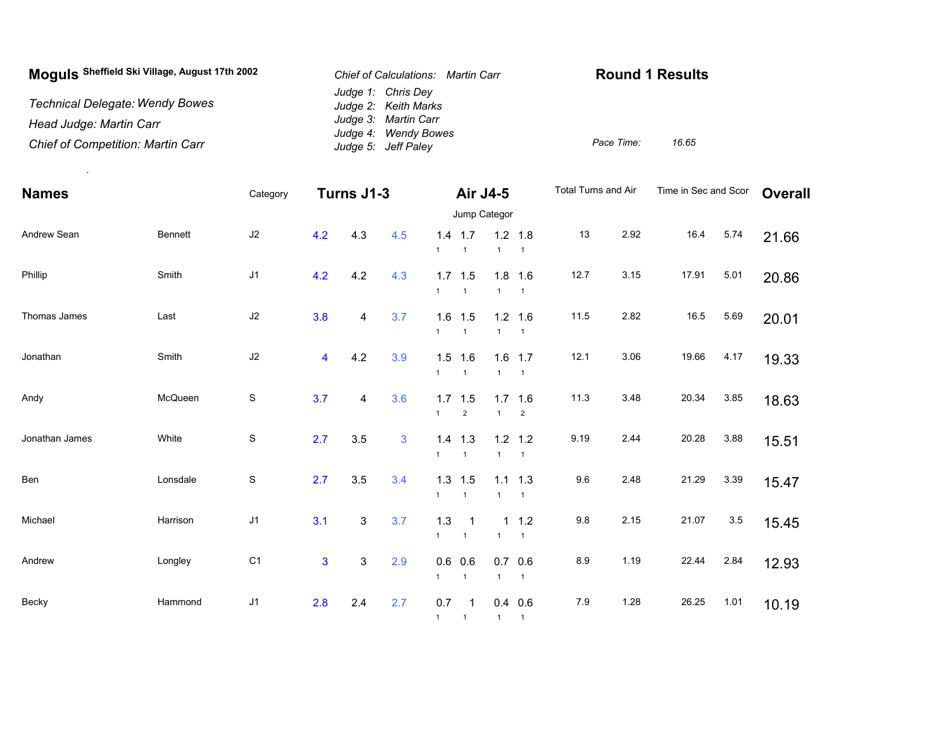| Moguls Sheffield Ski Village, August 17th 2002 | Chief of Calculations: Martin Carr           | <b>Round 1 Results</b> |       |  |  |
|------------------------------------------------|----------------------------------------------|------------------------|-------|--|--|
| <b>Technical Delegate: Wendy Bowes</b>         | Judge 1: Chris Dey<br>Judge 2: Keith Marks   |                        |       |  |  |
| Head Judge: Martin Carr                        | Judge 3: Martin Carr<br>Judge 4: Wendy Bowes |                        |       |  |  |
| <b>Chief of Competition: Martin Carr</b>       | Judge 5: Jeff Paley                          | Pace Time:             | 16.65 |  |  |

.

| <b>Names</b>   |                | Category       | Turns J1-3     |                           |     | Air J4-5<br>Jump Categor |                                           |                     | Total Turns and Air         |         | Time in Sec and Scor |       | <b>Overall</b> |       |
|----------------|----------------|----------------|----------------|---------------------------|-----|--------------------------|-------------------------------------------|---------------------|-----------------------------|---------|----------------------|-------|----------------|-------|
|                |                |                |                |                           |     |                          |                                           |                     |                             |         |                      |       |                |       |
| Andrew Sean    | <b>Bennett</b> | J2             | 4.2            | 4.3                       | 4.5 | $\mathbf{1}$             | $1.4$ 1.7<br>$\overline{1}$               | $\mathbf{1}$        | $1.2$ 1.8<br>$\overline{1}$ | 13      | 2.92                 | 16.4  | 5.74           | 21.66 |
| Phillip        | Smith          | J <sub>1</sub> | 4.2            | 4.2                       | 4.3 | $\mathbf{1}$             | $1.7$ 1.5<br>$\overline{1}$               | 1.8<br>$\mathbf{1}$ | 1.6<br>$\overline{1}$       | 12.7    | 3.15                 | 17.91 | 5.01           | 20.86 |
| Thomas James   | Last           | $\sf J2$       | 3.8            | 4                         | 3.7 | 1.6<br>$\mathbf{1}$      | 1.5<br>$\overline{1}$                     | $\mathbf{1}$        | $1.2$ 1.6<br>$\overline{1}$ | 11.5    | 2.82                 | 16.5  | 5.69           | 20.01 |
| Jonathan       | Smith          | $\sf J2$       | 4              | 4.2                       | 3.9 | 1.5<br>$\mathbf{1}$      | 1.6<br>$\overline{1}$                     | 1.6<br>$\mathbf{1}$ | 1.7<br>$\overline{1}$       | 12.1    | 3.06                 | 19.66 | 4.17           | 19.33 |
| Andy           | McQueen        | $\mathbb S$    | 3.7            | 4                         | 3.6 | 1.7<br>$\mathbf{1}$      | 1.5<br>$\sqrt{2}$                         | 1.7<br>$\mathbf{1}$ | 1.6<br>$\overline{c}$       | 11.3    | 3.48                 | 20.34 | 3.85           | 18.63 |
| Jonathan James | White          | $\mathbb S$    | 2.7            | 3.5                       | 3   | 1.4<br>$\mathbf{1}$      | 1.3<br>$\overline{1}$                     | $\mathbf{1}$        | $1.2$ 1.2<br>$\overline{1}$ | 9.19    | 2.44                 | 20.28 | 3.88           | 15.51 |
| Ben            | Lonsdale       | $\mathbb S$    | 2.7            | 3.5                       | 3.4 | 1.3<br>$\mathbf{1}$      | 1.5<br>$\overline{1}$                     | 1.1<br>$\mathbf{1}$ | 1.3<br>$\overline{1}$       | 9.6     | 2.48                 | 21.29 | 3.39           | 15.47 |
| Michael        | Harrison       | J1             | 3.1            | $\ensuremath{\mathsf{3}}$ | 3.7 | $1.3$<br>$\mathbf{1}$    | $\overline{\mathbf{1}}$<br>$\overline{1}$ | $\mathbf{1}$        | $1 \t1.2$<br>$\overline{1}$ | $9.8\,$ | 2.15                 | 21.07 | 3.5            | 15.45 |
| Andrew         | Longley        | C <sub>1</sub> | $\overline{3}$ | $\sqrt{3}$                | 2.9 | 0.6<br>$\mathbf{1}$      | 0.6<br>$\overline{1}$                     | 0.7<br>$\mathbf{1}$ | 0.6<br>$\overline{1}$       | 8.9     | 1.19                 | 22.44 | 2.84           | 12.93 |
| Becky          | Hammond        | J <sub>1</sub> | 2.8            | 2.4                       | 2.7 | 0.7<br>$1 \quad 1$       | -1                                        | 1 1                 | $0.4$ 0.6                   | 7.9     | 1.28                 | 26.25 | 1.01           | 10.19 |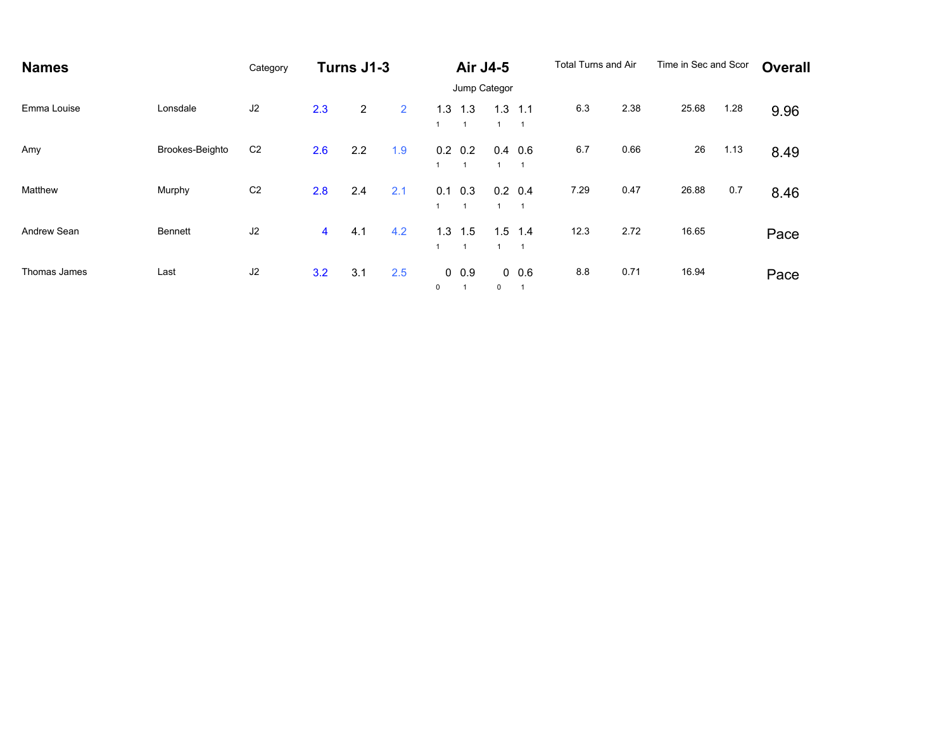| <b>Names</b> |                 | Category       | Turns J1-3     |                |                | Air J4-5 |                                   |          | <b>Total Turns and Air</b>        |      | Time in Sec and Scor |       | <b>Overall</b> |      |
|--------------|-----------------|----------------|----------------|----------------|----------------|----------|-----------------------------------|----------|-----------------------------------|------|----------------------|-------|----------------|------|
|              |                 |                |                |                |                |          | Jump Categor                      |          |                                   |      |                      |       |                |      |
| Emma Louise  | Lonsdale        | J2             | 2.3            | $\overline{2}$ | $\overline{2}$ | 1.3      | 1.3<br>$\overline{1}$             | 1.3      | 1.1<br>$\overline{1}$             | 6.3  | 2.38                 | 25.68 | 1.28           | 9.96 |
| Amy          | Brookes-Beighto | C <sub>2</sub> | 2.6            | 2.2            | 1.9            |          | $0.2 \quad 0.2$<br>$\overline{1}$ |          | $0.4$ 0.6<br>$\overline{1}$       | 6.7  | 0.66                 | 26    | 1.13           | 8.49 |
| Matthew      | Murphy          | C <sub>2</sub> | 2.8            | 2.4            | 2.1            | 0.1      | 0.3<br>$\mathbf{1}$               |          | $0.2 \quad 0.4$<br>$\overline{1}$ | 7.29 | 0.47                 | 26.88 | 0.7            | 8.46 |
| Andrew Sean  | <b>Bennett</b>  | J2             | $\overline{4}$ | 4.1            | 4.2            | 1.3      | 1.5<br>$\mathbf{1}$               | 1.5      | 1.4                               | 12.3 | 2.72                 | 16.65 |                | Pace |
| Thomas James | Last            | J <sub>2</sub> | 3.2            | 3.1            | 2.5            | $\Omega$ | $0\ 0.9$                          | $\Omega$ | 0.06                              | 8.8  | 0.71                 | 16.94 |                | Pace |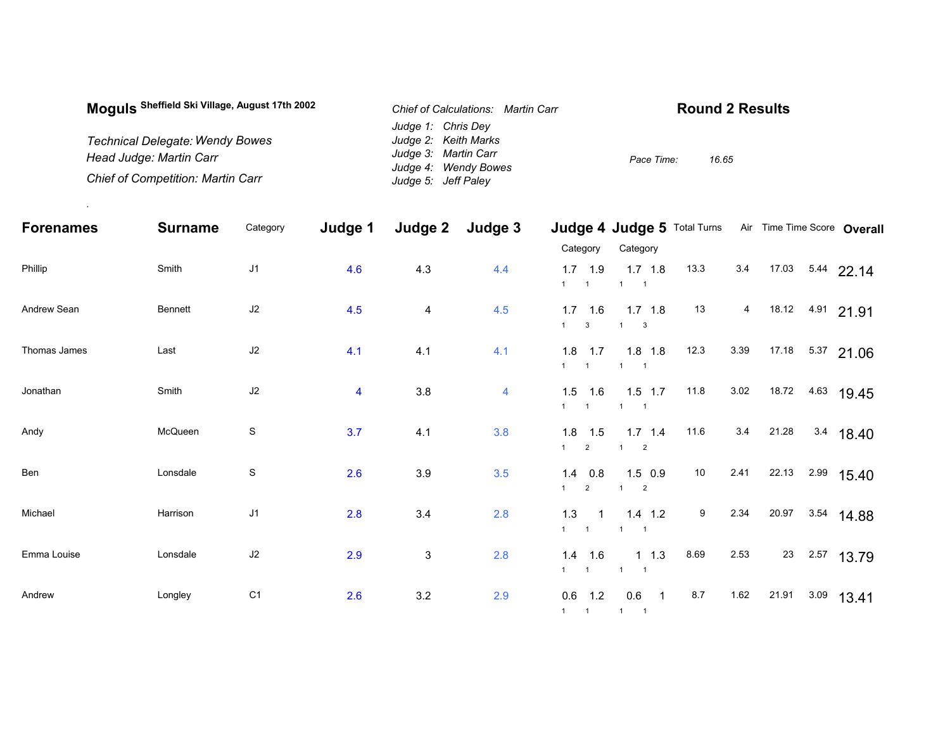| Moguls Sheffield Ski Village, August 17th 2002 | Chief of Calculations: Martin Carr | <b>Round 2 Results</b> |  |  |  |  |  |
|------------------------------------------------|------------------------------------|------------------------|--|--|--|--|--|
|                                                | Judge 1: Chris Dey                 |                        |  |  |  |  |  |
| <b>Technical Delegate: Wendy Bowes</b>         | Judge 2: Keith Marks               |                        |  |  |  |  |  |
| Head Judge: Martin Carr                        | Judge 3: Martin Carr               | Pace Time:<br>16.65    |  |  |  |  |  |
|                                                | Judge 4: Wendy Bowes               |                        |  |  |  |  |  |
| <b>Chief of Competition: Martin Carr</b>       | Judge 5: Jeff Paley                |                        |  |  |  |  |  |

.

| <b>Forenames</b> | <b>Surname</b> | Category       | Judge 1                 | Judge 2                 | Judge 3        |                                             | <b>Judge 4 Judge 5 Total Turns</b>                    |      |                |       | Air Time Time Score Overall |
|------------------|----------------|----------------|-------------------------|-------------------------|----------------|---------------------------------------------|-------------------------------------------------------|------|----------------|-------|-----------------------------|
|                  |                |                |                         |                         |                | Category                                    | Category                                              |      |                |       |                             |
| Phillip          | Smith          | J1             | 4.6                     | 4.3                     | 4.4            | $1.7$ 1.9<br>$1 \quad 1$                    | $1.7$ 1.8<br>$1 \quad 1$                              | 13.3 | 3.4            |       | 17.03 5.44 22.14            |
| Andrew Sean      | <b>Bennett</b> | J2             | 4.5                     | $\overline{\mathbf{4}}$ | 4.5            | $1.7$ 1.6<br>$1 \qquad 3$                   | $1.7$ 1.8<br>$1 \quad 3$                              | 13   | $\overline{4}$ |       | 18.12 4.91 21.91            |
| Thomas James     | Last           | J2             | 4.1                     | 4.1                     | 4.1            | $1.8$ 1.7<br>$1 \quad 1$                    | $1.8$ 1.8<br>$1 \quad 1$                              | 12.3 | 3.39           |       | 17.18 5.37 21.06            |
| Jonathan         | Smith          | J2             | $\overline{\mathbf{4}}$ | 3.8                     | $\overline{4}$ | $1.5$ 1.6<br>$1 \quad 1$                    | $1.5$ 1.7<br>$1 \quad 1$                              | 11.8 | 3.02           |       | 18.72 4.63 19.45            |
| Andy             | McQueen        | ${\mathsf S}$  | 3.7                     | 4.1                     | 3.8            | $1.8$ 1.5<br>1<br>$\overline{2}$            | $1.7$ 1.4<br>$1 \qquad 2$                             | 11.6 | 3.4            | 21.28 | 3.4 18.40                   |
| Ben              | Lonsdale       | ${\mathsf S}$  | 2.6                     | 3.9                     | 3.5            | $1.4$ 0.8<br>$\overline{2}$<br>$\mathbf{1}$ | $1.5$ 0.9<br>$\overline{2}$<br>$1 \quad \blacksquare$ | 10   | 2.41           | 22.13 | $2.99$ 15.40                |
| Michael          | Harrison       | J1             | 2.8                     | 3.4                     | 2.8            | 1.3<br>$\overline{1}$<br>$1 \quad 1$        | $1.4$ 1.2<br>$1 \quad 1$                              | 9    | 2.34           | 20.97 | $3.54$ 14.88                |
| Emma Louise      | Lonsdale       | J2             | 2.9                     | $\mathfrak{S}$          | 2.8            | $1.4$ 1.6<br>$1 \qquad 1 \qquad 1 \qquad 1$ | $1 \t1.3$                                             | 8.69 | 2.53           | 23    | $2.57$ 13.79                |
| Andrew           | Longley        | C <sub>1</sub> | 2.6                     | 3.2                     | 2.9            | $0.6$ 1.2<br>$1 \quad 1 \quad$              | $0.6$ 1<br>$1 \quad 1$                                | 8.7  | 1.62           | 21.91 | $3.09$ 13.41                |